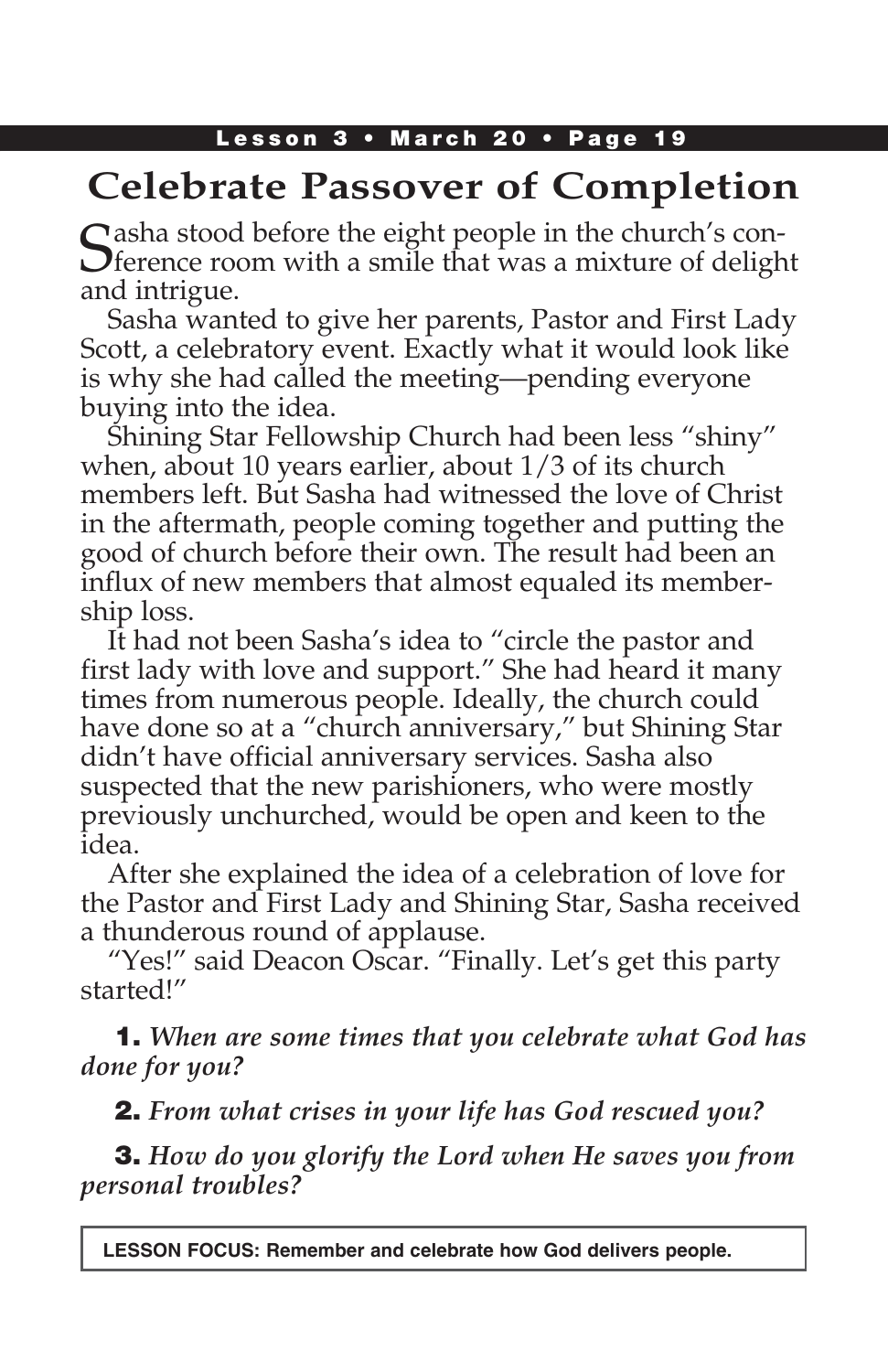# **Celebrate Passover of Completion**

 $\Gamma$  asha stood before the eight people in the church's con- $\bigcup$  ference room with a smile that was a mixture of delight and intrigue.

Sasha wanted to give her parents, Pastor and First Lady Scott, a celebratory event. Exactly what it would look like is why she had called the meeting—pending everyone buying into the idea.

Shining Star Fellowship Church had been less "shiny" when, about 10 years earlier, about 1/3 of its church members left. But Sasha had witnessed the love of Christ in the aftermath, people coming together and putting the good of church before their own. The result had been an influx of new members that almost equaled its membership loss.

It had not been Sasha's idea to "circle the pastor and first lady with love and support." She had heard it many times from numerous people. Ideally, the church could have done so at a "church anniversary," but Shining Star didn't have official anniversary services. Sasha also suspected that the new parishioners, who were mostly previously unchurched, would be open and keen to the idea.

After she explained the idea of a celebration of love for the Pastor and First Lady and Shining Star, Sasha received a thunderous round of applause.

"Yes!" said Deacon Oscar. "Finally. Let's get this party started!"

1. *When are some times that you celebrate what God has done for you?*

2. *From what crises in your life has God rescued you?*

3. *How do you glorify the Lord when He saves you from personal troubles?*

**LESSON FOCUS: Remember and celebrate how God delivers people.**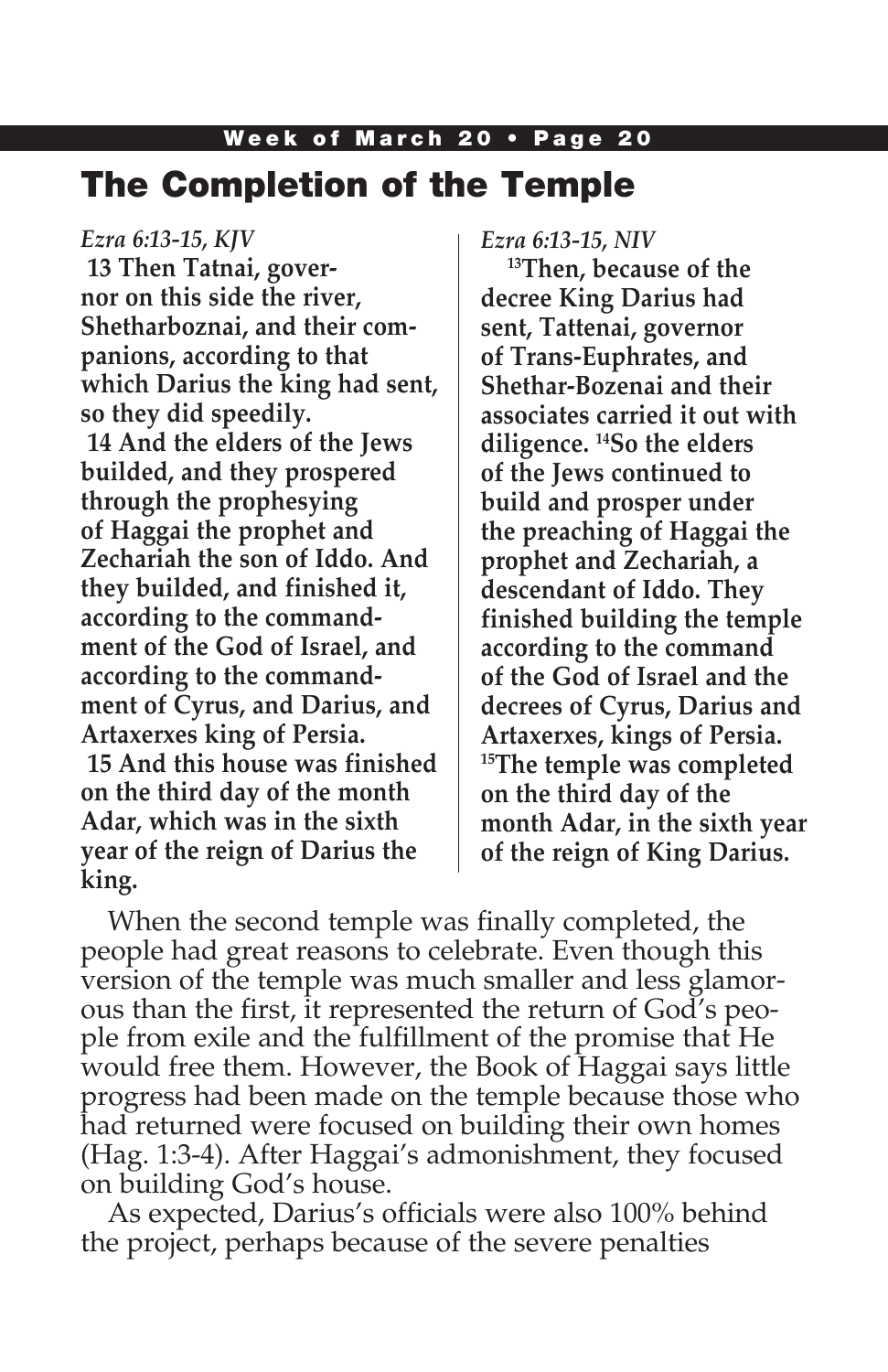## The Completion of the Temple

*Ezra 6:13-15, KJV* **13 Then Tatnai, governor on this side the river, Shetharboznai, and their companions, according to that which Darius the king had sent, so they did speedily. 14 And the elders of the Jews builded, and they prospered through the prophesying of Haggai the prophet and Zechariah the son of Iddo. And they builded, and finished it, according to the commandment of the God of Israel, and according to the commandment of Cyrus, and Darius, and Artaxerxes king of Persia. 15 And this house was finished on the third day of the month Adar, which was in the sixth year of the reign of Darius the king.**

*Ezra 6:13-15, NIV* 

**13Then, because of the decree King Darius had sent, Tattenai, governor of Trans-Euphrates, and Shethar-Bozenai and their associates carried it out with diligence. 14So the elders of the Jews continued to build and prosper under the preaching of Haggai the prophet and Zechariah, a descendant of Iddo. They finished building the temple according to the command of the God of Israel and the decrees of Cyrus, Darius and Artaxerxes, kings of Persia. 15The temple was completed on the third day of the month Adar, in the sixth year of the reign of King Darius.**

When the second temple was finally completed, the people had great reasons to celebrate. Even though this version of the temple was much smaller and less glamorous than the first, it represented the return of God's people from exile and the fulfillment of the promise that He would free them. However, the Book of Haggai says little progress had been made on the temple because those who had returned were focused on building their own homes (Hag. 1:3-4). After Haggai's admonishment, they focused on building God's house.

As expected, Darius's officials were also 100% behind the project, perhaps because of the severe penalties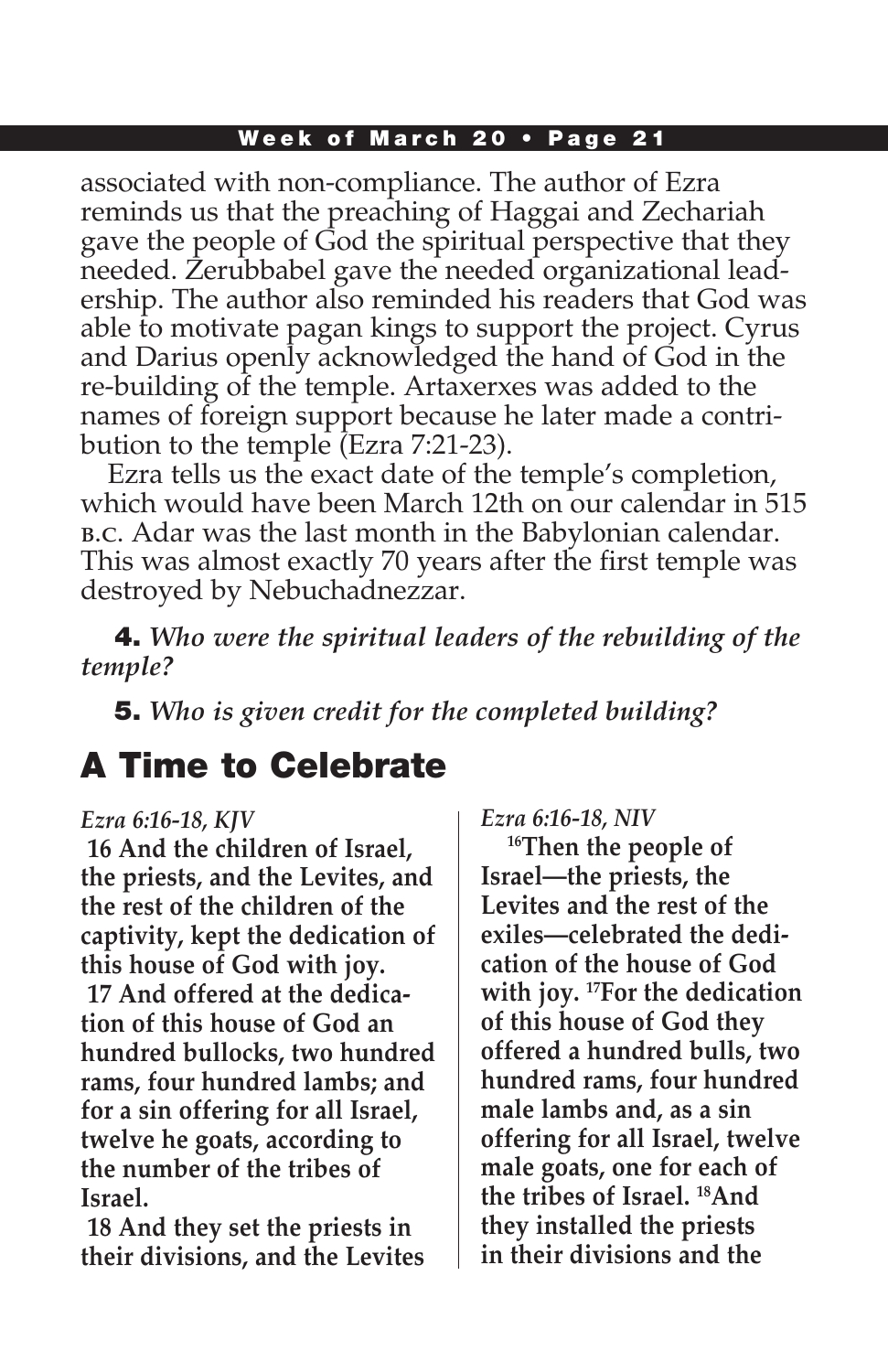associated with non-compliance. The author of Ezra reminds us that the preaching of Haggai and Zechariah gave the people of God the spiritual perspective that they needed. Zerubbabel gave the needed organizational leadership. The author also reminded his readers that God was able to motivate pagan kings to support the project. Cyrus and Darius openly acknowledged the hand of God in the re-building of the temple. Artaxerxes was added to the names of foreign support because he later made a contribution to the temple (Ezra 7:21-23).

Ezra tells us the exact date of the temple's completion, which would have been March 12th on our calendar in 515 b.c. Adar was the last month in the Babylonian calendar. This was almost exactly 70 years after the first temple was destroyed by Nebuchadnezzar.

4. *Who were the spiritual leaders of the rebuilding of the temple?* 

5. *Who is given credit for the completed building?* 

## A Time to Celebrate

#### *Ezra 6:16-18, KJV*

**16 And the children of Israel, the priests, and the Levites, and the rest of the children of the captivity, kept the dedication of this house of God with joy. 17 And offered at the dedication of this house of God an hundred bullocks, two hundred rams, four hundred lambs; and for a sin offering for all Israel, twelve he goats, according to the number of the tribes of Israel.**

**18 And they set the priests in their divisions, and the Levites**  *Ezra 6:16-18, NIV*

**16Then the people of Israel—the priests, the Levites and the rest of the exiles—celebrated the dedication of the house of God with joy. 17For the dedication of this house of God they offered a hundred bulls, two hundred rams, four hundred male lambs and, as a sin offering for all Israel, twelve male goats, one for each of the tribes of Israel. 18And they installed the priests in their divisions and the**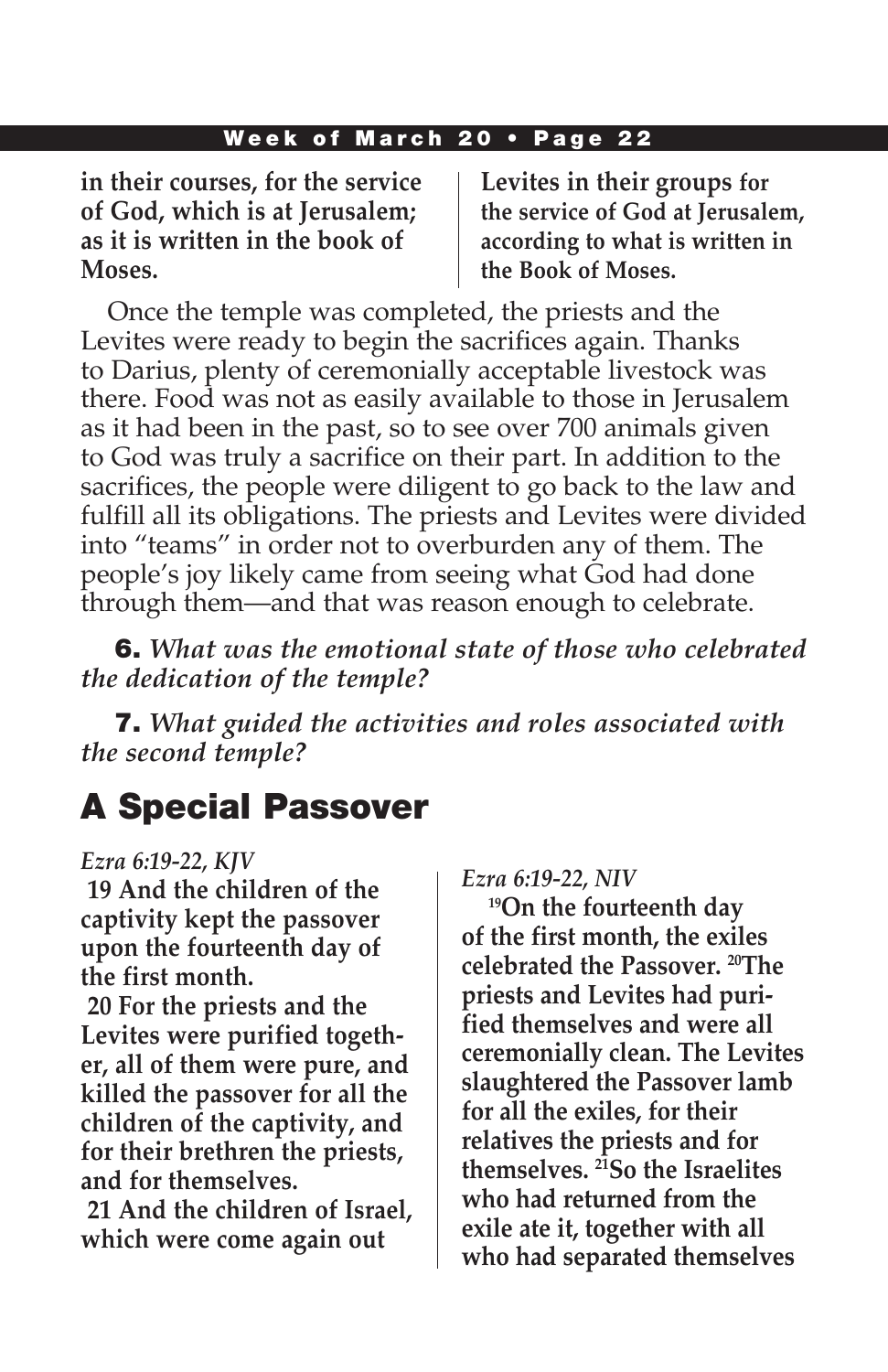**in their courses, for the service of God, which is at Jerusalem; as it is written in the book of Moses.**

**Levites in their groups for the service of God at Jerusalem, according to what is written in the Book of Moses.**

Once the temple was completed, the priests and the Levites were ready to begin the sacrifices again. Thanks to Darius, plenty of ceremonially acceptable livestock was there. Food was not as easily available to those in Jerusalem as it had been in the past, so to see over 700 animals given to God was truly a sacrifice on their part. In addition to the sacrifices, the people were diligent to go back to the law and fulfill all its obligations. The priests and Levites were divided into "teams" in order not to overburden any of them. The people's joy likely came from seeing what God had done through them—and that was reason enough to celebrate.

6. *What was the emotional state of those who celebrated the dedication of the temple?* 

7. *What guided the activities and roles associated with the second temple?* 

## A Special Passover

#### *Ezra 6:19-22, KJV*

**19 And the children of the captivity kept the passover upon the fourteenth day of the first month.**

**20 For the priests and the Levites were purified together, all of them were pure, and killed the passover for all the children of the captivity, and for their brethren the priests, and for themselves.**

**21 And the children of Israel, which were come again out** 

#### *Ezra 6:19-22, NIV*

**19On the fourteenth day of the first month, the exiles celebrated the Passover. 20The priests and Levites had purified themselves and were all ceremonially clean. The Levites slaughtered the Passover lamb for all the exiles, for their relatives the priests and for themselves. 21So the Israelites who had returned from the exile ate it, together with all who had separated themselves**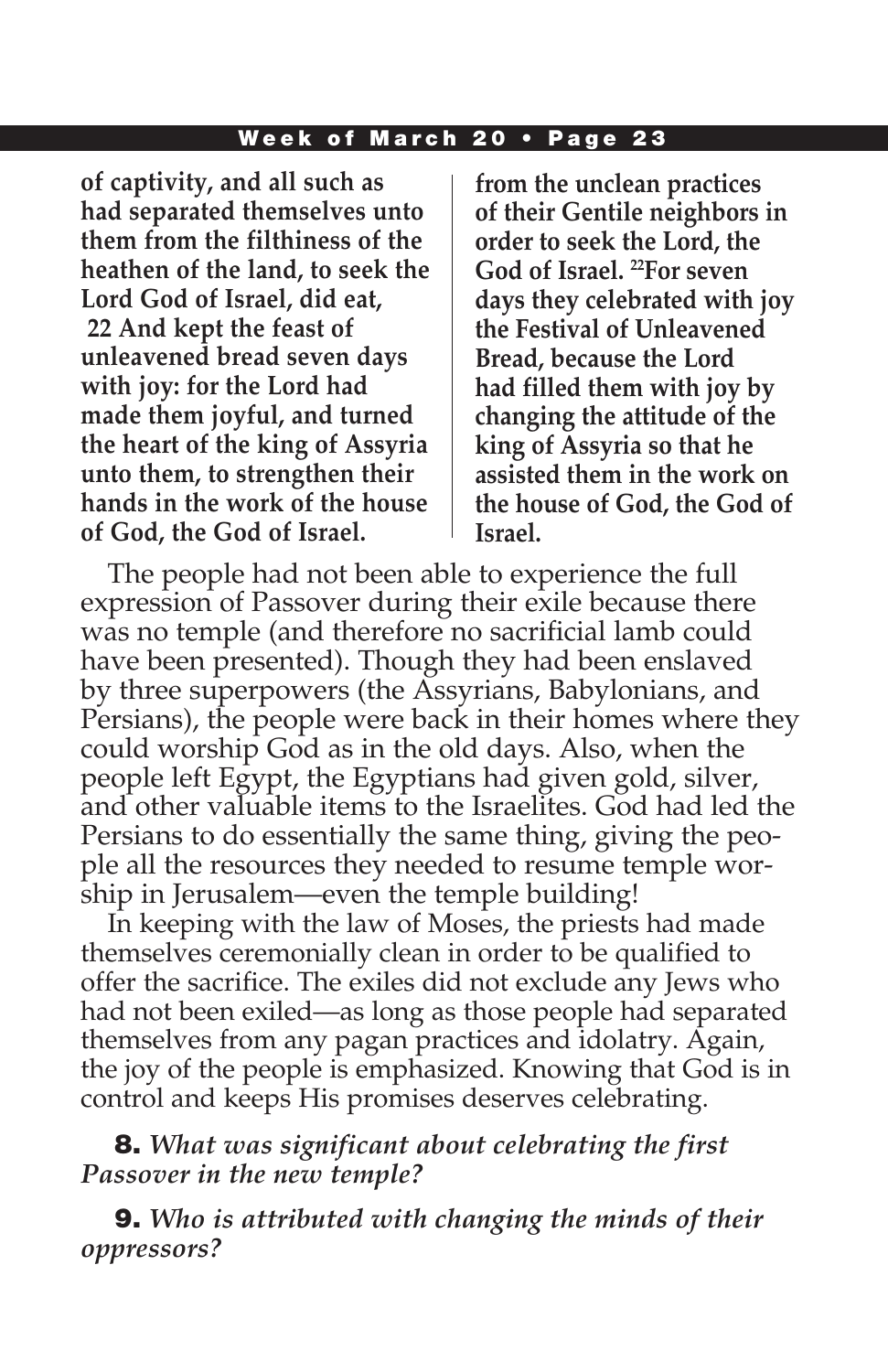**of captivity, and all such as had separated themselves unto them from the filthiness of the heathen of the land, to seek the Lord God of Israel, did eat, 22 And kept the feast of unleavened bread seven days with joy: for the Lord had made them joyful, and turned the heart of the king of Assyria unto them, to strengthen their hands in the work of the house of God, the God of Israel.**

**from the unclean practices of their Gentile neighbors in order to seek the Lord, the God of Israel. 22For seven days they celebrated with joy the Festival of Unleavened Bread, because the Lord had filled them with joy by changing the attitude of the king of Assyria so that he assisted them in the work on the house of God, the God of Israel.**

The people had not been able to experience the full expression of Passover during their exile because there was no temple (and therefore no sacrificial lamb could have been presented). Though they had been enslaved by three superpowers (the Assyrians, Babylonians, and Persians), the people were back in their homes where they could worship God as in the old days. Also, when the people left Egypt, the Egyptians had given gold, silver, and other valuable items to the Israelites. God had led the Persians to do essentially the same thing, giving the people all the resources they needed to resume temple worship in Jerusalem—even the temple building!

In keeping with the law of Moses, the priests had made themselves ceremonially clean in order to be qualified to offer the sacrifice. The exiles did not exclude any Jews who had not been exiled—as long as those people had separated themselves from any pagan practices and idolatry. Again, the joy of the people is emphasized. Knowing that God is in control and keeps His promises deserves celebrating.

8. *What was significant about celebrating the first Passover in the new temple?* 

9. *Who is attributed with changing the minds of their oppressors?*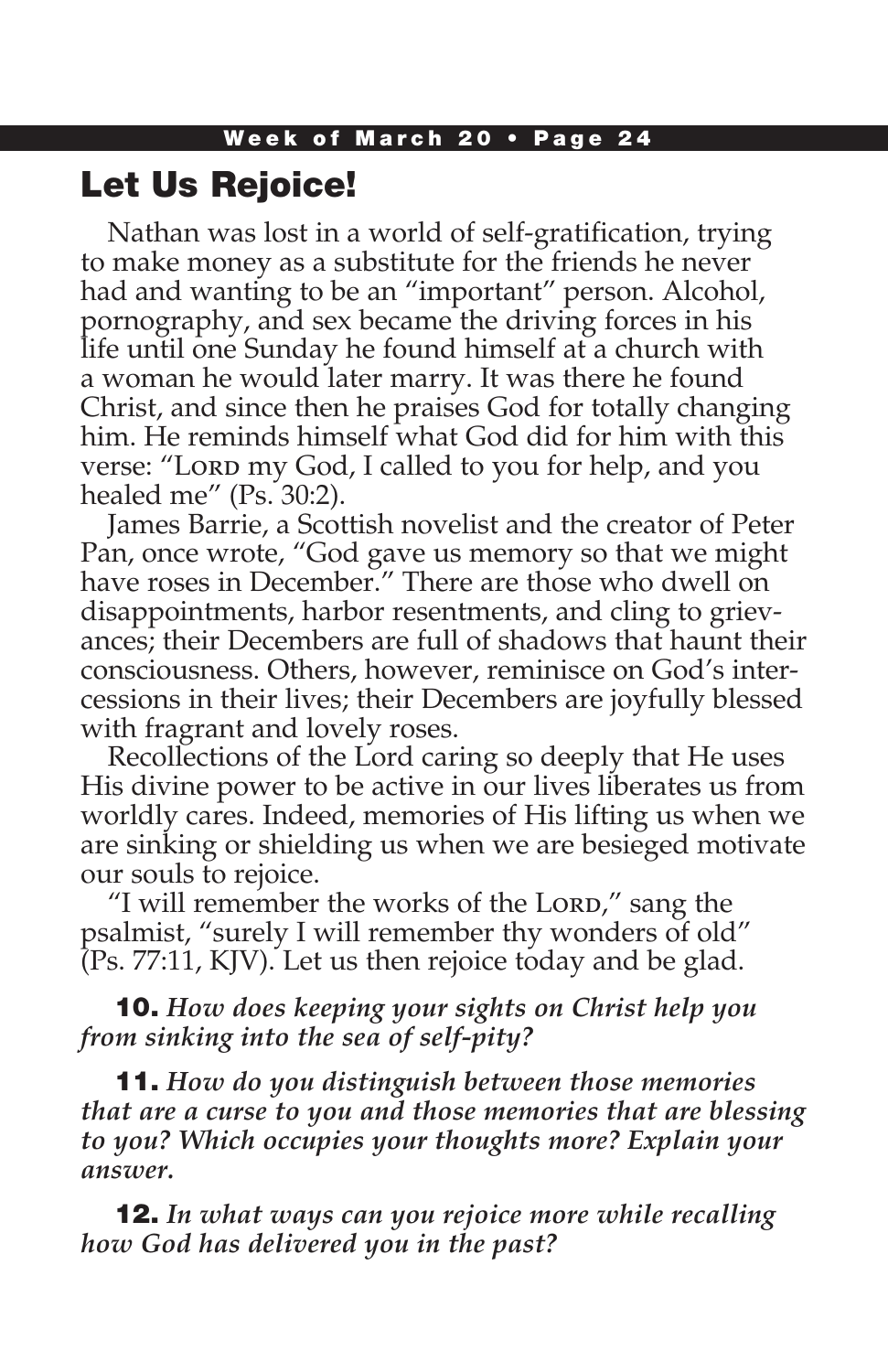## Let Us Rejoice!

Nathan was lost in a world of self-gratification, trying to make money as a substitute for the friends he never had and wanting to be an "important" person. Alcohol, pornography, and sex became the driving forces in his life until one Sunday he found himself at a church with a woman he would later marry. It was there he found Christ, and since then he praises God for totally changing him. He reminds himself what God did for him with this verse: "Lorp my God, I called to you for help, and you healed me" (Ps. 30:2).

James Barrie, a Scottish novelist and the creator of Peter Pan, once wrote, "God gave us memory so that we might have roses in December." There are those who dwell on disappointments, harbor resentments, and cling to grievances; their Decembers are full of shadows that haunt their consciousness. Others, however, reminisce on God's intercessions in their lives; their Decembers are joyfully blessed with fragrant and lovely roses.

Recollections of the Lord caring so deeply that He uses His divine power to be active in our lives liberates us from worldly cares. Indeed, memories of His lifting us when we are sinking or shielding us when we are besieged motivate our souls to rejoice.

"I will remember the works of the Lord," sang the psalmist, "surely I will remember thy wonders of old" (Ps. 77:11, KJV). Let us then rejoice today and be glad.

10. *How does keeping your sights on Christ help you from sinking into the sea of self-pity?*

11. *How do you distinguish between those memories that are a curse to you and those memories that are blessing to you? Which occupies your thoughts more? Explain your answer.*

12. *In what ways can you rejoice more while recalling how God has delivered you in the past?*